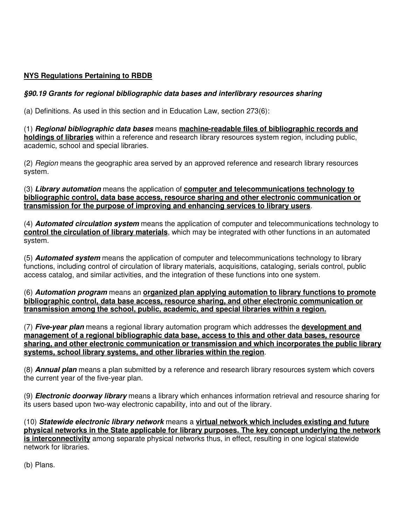## **NYS Regulations Pertaining to RBDB**

## **§90.19 Grants for regional bibliographic data bases and interlibrary resources sharing**

(a) Definitions. As used in this section and in Education Law, section 273(6):

(1) **Regional bibliographic data bases** means **machine-readable files of bibliographic records and holdings of libraries** within a reference and research library resources system region, including public, academic, school and special libraries.

(2) Region means the geographic area served by an approved reference and research library resources system.

(3) **Library automation** means the application of **computer and telecommunications technology to bibliographic control, data base access, resource sharing and other electronic communication or transmission for the purpose of improving and enhancing services to library users**.

(4) **Automated circulation system** means the application of computer and telecommunications technology to **control the circulation of library materials**, which may be integrated with other functions in an automated system.

(5) **Automated system** means the application of computer and telecommunications technology to library functions, including control of circulation of library materials, acquisitions, cataloging, serials control, public access catalog, and similar activities, and the integration of these functions into one system.

(6) **Automation program** means an **organized plan applying automation to library functions to promote bibliographic control, data base access, resource sharing, and other electronic communication or transmission among the school, public, academic, and special libraries within a region.**

(7) **Five-year plan** means a regional library automation program which addresses the **development and management of a regional bibliographic data base, access to this and other data bases, resource sharing, and other electronic communication or transmission and which incorporates the public library systems, school library systems, and other libraries within the region**.

(8) **Annual plan** means a plan submitted by a reference and research library resources system which covers the current year of the five-year plan.

(9) **Electronic doorway library** means a library which enhances information retrieval and resource sharing for its users based upon two-way electronic capability, into and out of the library.

(10) **Statewide electronic library network** means a **virtual network which includes existing and future physical networks in the State applicable for library purposes. The key concept underlying the network is interconnectivity** among separate physical networks thus, in effect, resulting in one logical statewide network for libraries.

(b) Plans.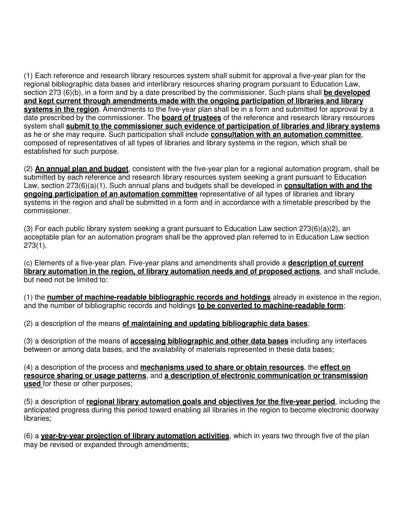(1) Each reference and research library resources system shall submit for approval a five-year plan for the regional bibliographic data bases and interlibrary resources sharing program pursuant to Education Law, section 273 (6)(b), in a form and by a date prescribed by the commissioner. Such plans shall **be developed and kept current through amendments made with the ongoing participation of libraries and library systems in the region**. Amendments to the five-year plan shall be in a form and submitted for approval by a date prescribed by the commissioner. The **board of trustees** of the reference and research library resources system shall **submit to the commissioner such evidence of participation of libraries and library systems** as he or she may require. Such participation shall include **consultation with an automation committee**, composed of representatives of all types of libraries and library systems in the region, which shall be established for such purpose.

(2) **An annual plan and budget**, consistent with the five-year plan for a regional automation program, shall be submitted by each reference and research library resources system seeking a grant pursuant to Education Law, section 273(6)(a)(1). Such annual plans and budgets shall be developed in **consultation with and the ongoing participation of an automation committee** representative of all types of libraries and library systems in the region and shall be submitted in a form and in accordance with a timetable prescribed by the commissioner.

(3) For each public library system seeking a grant pursuant to Education Law section  $273(6)(a)(2)$ , an acceptable plan for an automation program shall be the approved plan referred to in Education Law section 273(1).

(c) Elements of a five-year plan. Five-year plans and amendments shall provide a **description of current library automation in the region, of library automation needs and of proposed actions**, and shall include, but need not be limited to:

(1) the **number of machine-readable bibliographic records and holdings** already in existence in the region, and the number of bibliographic records and holdings **to be converted to machine-readable form**;

(2) a description of the means **of maintaining and updating bibliographic data bases**;

(3) a description of the means of **accessing bibliographic and other data bases** including any interfaces between or among data bases, and the availability of materials represented in these data bases;

(4) a description of the process and **mechanisms used to share or obtain resources**, the **effect on resource sharing or usage patterns**, and **a description of electronic communication or transmission used** for these or other purposes;

(5) a description of **regional library automation goals and objectives for the five-year period**, including the anticipated progress during this period toward enabling all libraries in the region to become electronic doorway libraries;

(6) a **year-by-year projection of library automation activities**, which in years two through five of the plan may be revised or expanded through amendments;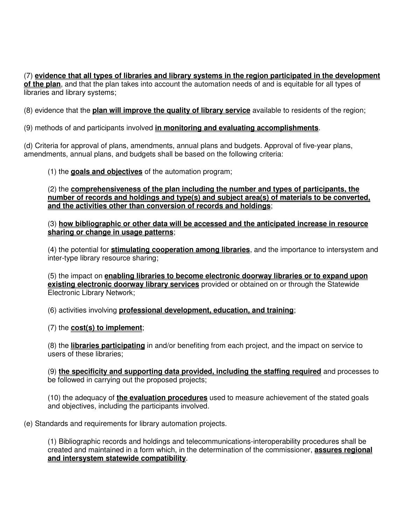(7) **evidence that all types of libraries and library systems in the region participated in the development** of the plan, and that the plan takes into account the automation needs of and is equitable for all types of libraries and library systems;

(8) evidence that the **plan will improve the quality of library service** available to residents of the region;

(9) methods of and participants involved **in monitoring and evaluating accomplishments**.

(d) Criteria for approval of plans, amendments, annual plans and budgets. Approval of five-year plans, amendments, annual plans, and budgets shall be based on the following criteria:

(1) the **goals and objectives** of the automation program;

(2) the **comprehensiveness of the plan including the number and types of participants, the number of records and holdings and type(s) and subject area(s) of materials to be converted, and the activities other than conversion of records and holdings**;

(3) **how bibliographic or other data will be accessed and the anticipated increase in resource sharing or change in usage patterns**;

(4) the potential for **stimulating cooperation among libraries**, and the importance to intersystem and inter-type library resource sharing;

(5) the impact on **enabling libraries to become electronic doorway libraries or to expand upon existing electronic doorway library services** provided or obtained on or through the Statewide Electronic Library Network;

(6) activities involving **professional development, education, and training**;

(7) the **cost(s) to implement**;

(8) the **libraries participating** in and/or benefiting from each project, and the impact on service to users of these libraries;

(9) **the specificity and supporting data provided, including the staffing required** and processes to be followed in carrying out the proposed projects;

(10) the adequacy of **the evaluation procedures** used to measure achievement of the stated goals and objectives, including the participants involved.

(e) Standards and requirements for library automation projects.

(1) Bibliographic records and holdings and telecommunications-interoperability procedures shall be created and maintained in a form which, in the determination of the commissioner, **assures regional and intersystem statewide compatibility**.